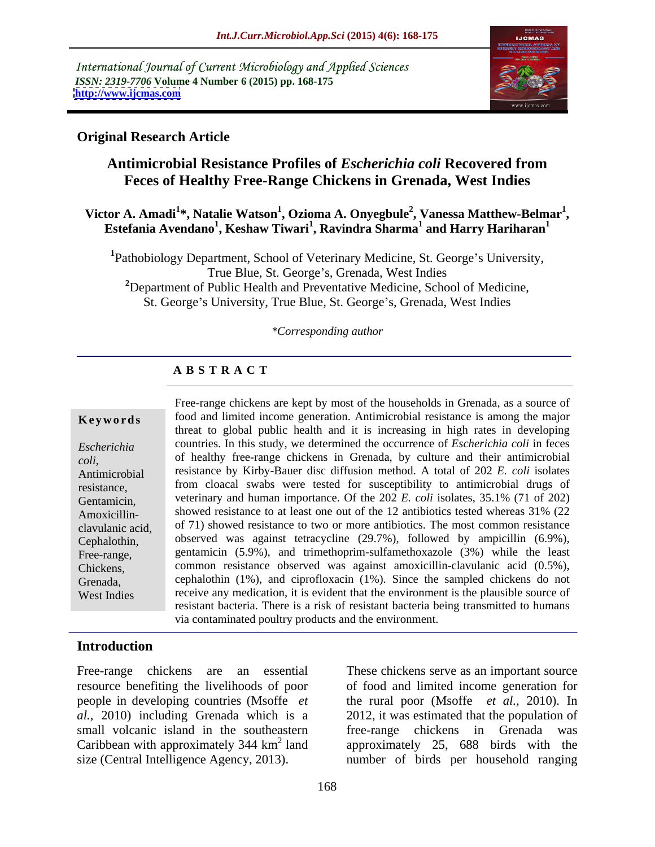International Journal of Current Microbiology and Applied Sciences *ISSN: 2319-7706* **Volume 4 Number 6 (2015) pp. 168-175 <http://www.ijcmas.com>**



#### **Original Research Article**

# **Antimicrobial Resistance Profiles of** *Escherichia coli* **Recovered from Feces of Healthy Free-Range Chickens in Grenada, West Indies**

#### **Victor A. Amadi<sup>1</sup> \*, Natalie Watson<sup>1</sup> , Ozioma A. Onyegbule<sup>2</sup> , Vanessa Matthew-Belmar1** tor A. Amadi<sup>1</sup>\*, Natalie Watson<sup>1</sup>, Ozioma A. Onyegbule<sup>2</sup>, Vanessa Matthew-Belmar<sup>1</sup>,<br>Estefania Avendano<sup>1</sup>, Keshaw Tiwari<sup>1</sup>, Ravindra Sharma<sup>1</sup> and Harry Hariharan<sup>1</sup>  **and Harry Hariharan<sup>1</sup>**

<sup>1</sup>Pathobiology Department, School of Veterinary Medicine, St. George's University, True Blue, St. George's, Grenada, West Indies **<sup>2</sup>**Department of Public Health and Preventative Medicine, School of Medicine, St. George's University, True Blue, St. George's, Grenada, West Indies

#### *\*Corresponding author*

### **A B S T R A C T**

West Indies

Free-range chickens are kept by most of the households in Grenada, as a source of **Keywords** food and limited income generation. Antimicrobial resistance is among the major threat to global public health and it is increasing in high rates in developing countries. In this study, we determined the occurrence of *Escherichia coli* in feces *Escherichia*  of healthy free-range chickens in Grenada, by culture and their antimicrobial *coli*, resistance by Kirby-Bauer disc diffusion method. A total of 202 *E. coli* isolates Antimicrobial resistance, from cloacal swabs were tested for susceptibility to antimicrobial drugs of Gentamicin, veterinary and human importance. Of the 202 *E. coli* isolates, 35.1% (71 of 202) Amoxicillin-<br>Showed resistance to at least one out of the 12 antibiotics tested whereas 31% (22 of 71) showed resistance to two or more antibiotics. The most common resistance clavulanic acid, Cephalothin, observed was against tetracycline (29.7%), followed by ampicillin (6.9%), Free-range, gentamicin (5.9%), and trimethoprim-sulfamethoxazole (3%) while the least common resistance observed was against amoxicillin-clavulanic acid (0.5%), Chickens, cephalothin (1%), and ciprofloxacin (1%). Since the sampled chickens do not Grenada, receive any medication, it is evident that the environment is the plausible source of resistant bacteria. There is a risk of resistant bacteria being transmitted to humans via contaminated poultry products and the environment.

## **Introduction**

Free-range chickens are an essential These chickens serve as an important source small volcanic island in the southeastern free-range chickens in Grenada was

resource benefiting the livelihoods of poor of food and limited income generation for people in developing countries (Msoffe *et* the rural poor (Msoffe *et al.,* 2010). In *al.,* 2010) including Grenada which is a 2012, it was estimated that the population of Caribbean with approximately  $344 \text{ km}^2$  land approximately 25, 688 birds with the Free-range chickens are an essential These chickens serve as an important source<br>resource benefiting the livelihoods of poor of food and limited income generation for<br>people in developing countries (Msoffe *et* the rural free-range chickens in Grenada number of birds per household ranging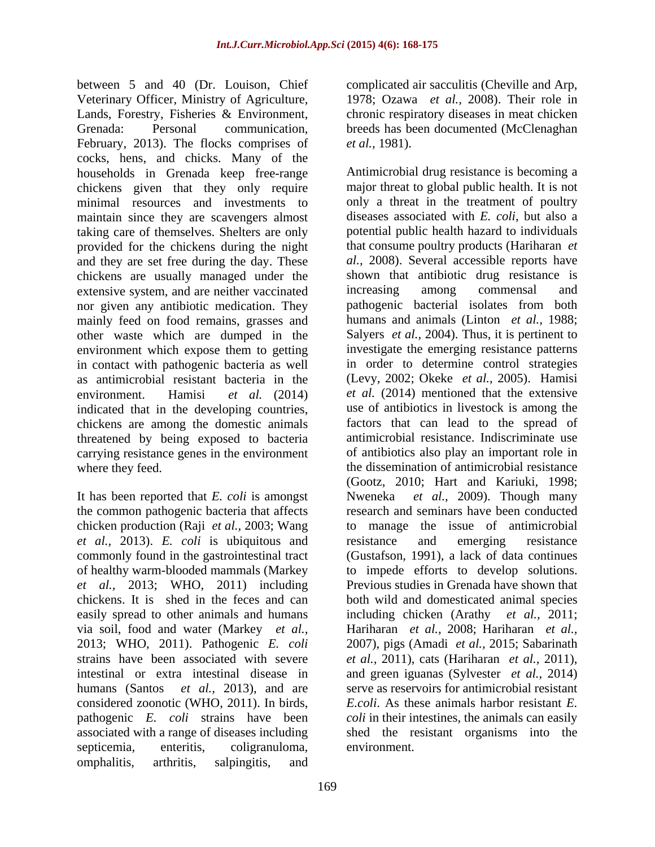between 5 and 40 (Dr. Louison, Chief Veterinary Officer, Ministry of Agriculture, 1978; Ozawa *et al.,* 2008). Their role in Lands, Forestry, Fisheries & Environment, chronic respiratory diseases in meat chicken Grenada: Personal communication, breeds has been documented (McClenaghan February, 2013). The flocks comprises of *et al.*, 1981). cocks, hens, and chicks. Many of the households in Grenada keep free-range minimal resources and investments to maintain since they are scavengers almost taking care of themselves. Shelters are only provided for the chickens during the night and they are set free during the day. These chickens are usually managed under the shown that antibiotic drug resistant extensive system and are neither vaccinated increasing among commensal extensive system, and are neither vaccinated increasing among commensal and nor given any antibiotic medication.They mainly feed on food remains, grasses and other waste which are dumped in the environment which expose them to getting in contact with pathogenic bacteria as well as antimicrobial resistant bacteria in the indicated that in the developing countries, chickens are among the domestic animals threatened by being exposed to bacteria carrying resistance genes in the environment

It has been reported that *E. coli* is amongst the common pathogenic bacteria that affects chicken production (Raji *et al.,* 2003; Wang *et al.,* 2013). *E. coli* is ubiquitous and *et al.,* 2013; WHO, 2011) including via soil, food and water (Markey *et al.,* strains have been associated with severe *et al.*, 2011), cats (Hariharan *et al.*, 2011), intestinal or extra intestinal disease in and green iguanas (Sylvester *et al.*, 2014) humans (Santos *et al.,* 2013), and are considered zoonotic (WHO, 2011). In birds, omphalitis, arthritis, salpingitis, and

complicated air sacculitis (Cheville and Arp, *et al.,* 1981).

chickens given that they only require major threat to global public health. It is not environment. Hamisi *et al.* (2014) *et al.* (2014) mentioned that the extensive where they feed. The dissemination of antimicrobial resistance commonly found in the gastrointestinal tract (Gustafson, 1991), a lack of data continues of healthy warm-blooded mammals (Markey to impede efforts to develop solutions. chickens. It is shed in the feces and can both wild and domesticated animal species easily spread to other animals and humans including chicken (Arathy *et al.,* 2011; 2013; WHO, 2011). Pathogenic *E. coli* 2007), pigs (Amadi *et al.,* 2015; Sabarinath pathogenic *E. coli* strains have been *coli* in their intestines, the animals can easily associated with a range of diseases including shed the resistant organisms into the septicemia, enteritis, coligranuloma, Antimicrobial drug resistance is becoming a only a threat in the treatment of poultry diseases associated with *E. coli*, but also a potential public health hazard to individuals that consume poultry products (Hariharan *et al.,* 2008). Several accessible reports have shown that antibiotic drug resistance is increasing among commensal and pathogenic bacterial isolates from both humans and animals (Linton *et al.,* 1988; Salyers *et al.,* 2004). Thus, it is pertinent to investigate the emerging resistance patterns in order to determine control strategies (Levy, 2002; Okeke *et al.,* 2005). Hamisi use of antibiotics in livestock is among the factors that can lead to the spread of antimicrobial resistance. Indiscriminate use of antibiotics also play an important role in (Gootz, 2010; Hart and Kariuki, 1998; *et al., 2009*). Though many research and seminars have been conducted to manage the issue of antimicrobial resistance and emerging resistance Previous studies in Grenada have shown that Hariharan *et al.,* 2008; Hariharan *et al., et al.,* 2011), cats (Hariharan *et al.,* 2011), and green iguanas (Sylvester *et al.,* 2014) serve as reservoirs for antimicrobial resistant *E.coli*. As these animals harbor resistant *E.*  environment.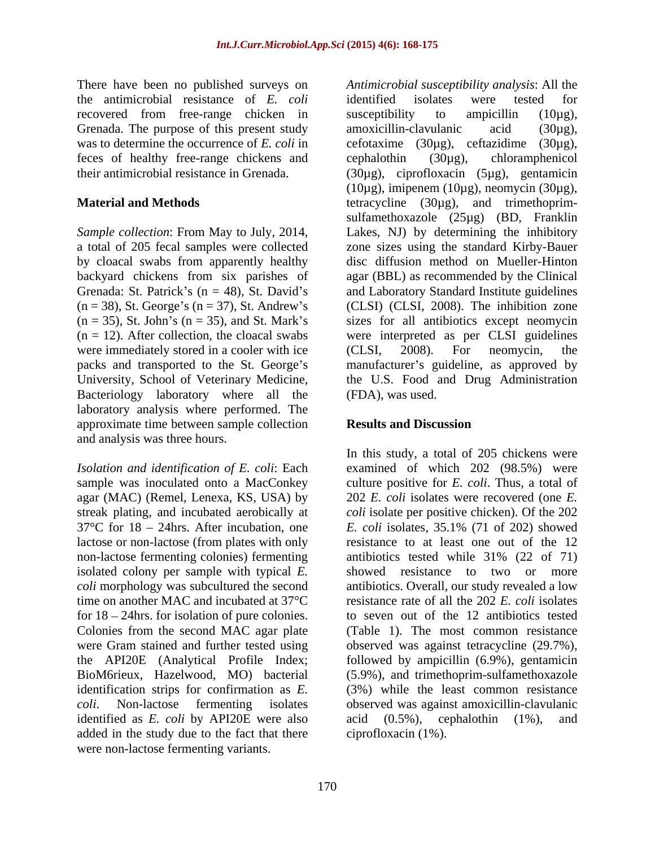There have been no published surveys on the antimicrobial resistance of *E. coli* recovered from free-range chicken in susceptibility to ampicillin (10ug), Grenada. The purpose of this present study amoxicillin-clavulanic acid  $(30\mu g)$ , feces of healthy free-range chickens and cephalothin (30µg), chloramphenicol<br>their antimicrobial resistance in Grenada. (30µg), ciprofloxacin (5µg), gentamicin

by cloacal swabs from apparently healthy were immediately stored in a cooler with ice (CLSI, 2008). For neomycin, the Bacteriology laboratory where all the laboratory analysis where performed. The approximate time between sample collection and analysis was three hours.

agar (MAC) (Remel, Lenexa, KS, USA) by lactose or non-lactose (from plates with only non-lactose fermenting colonies) fermenting antibiotics tested while 31% (22 of 71) isolated colony per sample with typical *E.*  identification strips for confirmation as *E.*  identified as *E. coli* by API20E were also added in the study due to the fact that there were non-lactose fermenting variants.

was to determine the occurrence of *E. coli* in cefotaxime (30µg), ceftazidime (30µg), their antimicrobial resistance in Grenada. (30µg), ciprofloxacin (5µg), gentamicin **Material and Methods tetracycline** (30μg), and trimethoprim-*Sample collection*: From May to July, 2014, Lakes, NJ) by determining the inhibitory a total of 205 fecal samples were collected zone sizes using the standard Kirby-Bauer backyard chickens from six parishes of agar (BBL) as recommended by the Clinical Grenada: St. Patrick's  $(n = 48)$ , St. David's and Laboratory Standard Institute guidelines  $(n = 38)$ , St. George's  $(n = 37)$ , St. Andrew's (CLSI) (CLSI, 2008). The inhibition zone  $(n = 35)$ , St. John's  $(n = 35)$ , and St. Mark's sizes for all antibiotics except neomycin (n = 12). After collection, the cloacal swabs were interpreted as per CLSI guidelines packs and transported to the St. George's manufacturer's guideline, as approved by University, School of Veterinary Medicine, the U.S. Food and Drug Administration *Antimicrobial susceptibility analysis*: All the identified isolates were tested for susceptibility to ampicillin (10µg), amoxicillin-clavulanic acid (30µg), cephalothin (30µg), chloramphenicol  $(10\mu$ g), imipenem  $(10\mu$ g), neomycin  $(30\mu$ g), sulfamethoxazole (25µg) (BD, Franklin disc diffusion method on Mueller-Hinton (CLSI, 2008). For neomycin, the (FDA), was used.

### **Results and Discussion**

*Isolation and identification of E. coli*: Each examined of which 202 (98.5%) were sample was inoculated onto a MacConkey culture positive for *E. coli*. Thus, a total of streak plating, and incubated aerobically at *coli* isolate per positive chicken). Of the 202  $37^{\circ}$ C for  $18 - 24$ hrs. After incubation, one *E. coli* isolates,  $35.1\%$  (71 of 202) showed *coli* morphology was subcultured the second antibiotics. Overall, our study revealed a low time on another MAC and incubated at 37°C resistance rate of all the 202 *E. coli* isolates for 18 – 24hrs. for isolation of pure colonies. <br>Colonies from the second MAC agar plate (Table 1). The most common resistance were Gram stained and further tested using observed was against tetracycline (29.7%), the API20E (Analytical Profile Index; followed by ampicillin (6.9%), gentamicin BioM6rieux, Hazelwood, MO) bacterial (5.9%), and trimethoprim-sulfamethoxazole *coli*. Non-lactose fermenting isolates observed was against amoxicillin-clavulanic In this study, a total of 205 chickens were 202 *E. coli* isolates were recovered (one *E.*  resistance to at least one out of the 12 antibiotics tested while 31% (22 of 71) showed resistance to two or more to seven out of the 12 antibiotics tested (Table 1). The most common resistance (3%) while the least common resistance acid (0.5%), cephalothin (1%), and ciprofloxacin (1%).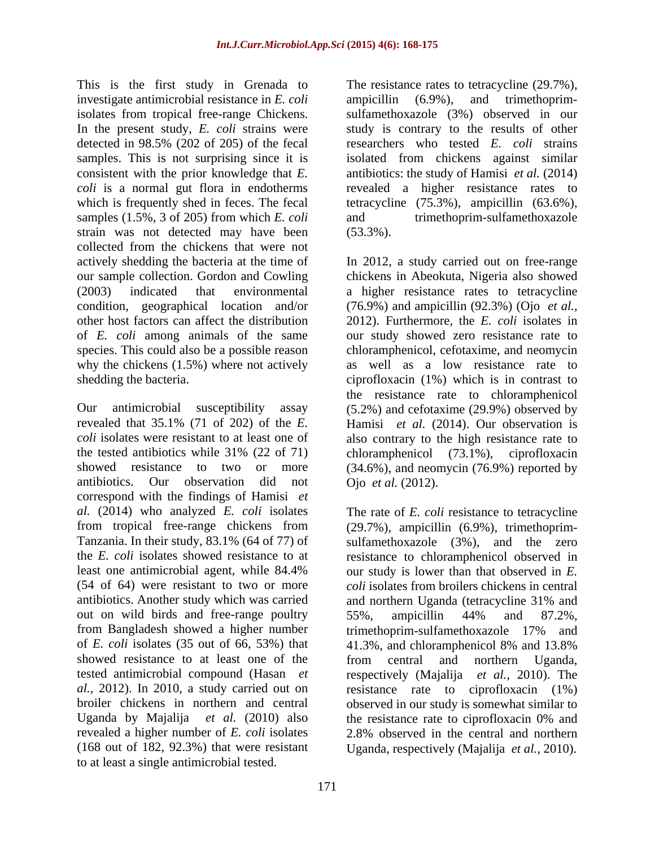This is the first study in Grenada to The resistance rates to tetracycline (29.7%), investigate antimicrobial resistance in *E. coli* ampicillin (6.9%), and trimethoprimisolates from tropical free-range Chickens. In the present study, *E. coli* strains were study is contrary to the results of other detected in 98.5% (202 of 205) of the fecal researchers who tested *E. coli* strains samples. This is not surprising since it is isolated from chickens against similar consistent with the prior knowledge that *E.*  antibiotics: the study of Hamisi *et al.* (2014) *coli* is a normal gut flora in endotherms revealed a higher resistance rates to which is frequently shed in feces. The fecal tetracycline (75.3%), ampicillin (63.6%), samples (1.5%, 3 of 205) from which *E. coli* strain was not detected may have been (53.3%). collected from the chickens that were not species. This could also be a possible reason why the chickens (1.5%) where not actively

the tested antibiotics while  $31\%$  (22 of 71) chloramphenicol (73.1%), ciprofloxacin correspond with the findings of Hamisi *et al.* (2014) who analyzed *E. coli* isolates antibiotics. Another study which was carried out on wild birds and free-range poultry 55%, ampicillin 44% and 87.2%, from Bangladesh showed a higher number of *E. coli* isolates (35 out of 66, 53%) that showed resistance to at least one of the from central and northern Uganda. Uganda by Majalija *et al.* (2010) also (168 out of 182, 92.3%) that were resistant Uganda, respectively (Majalija *et al.,* 2010). to at least a single antimicrobial tested.

ampicillin (6.9%), and trimethoprim sulfamethoxazole (3%) observed in our trimethoprim-sulfamethoxazole (53.3%).

actively shedding the bacteria at the time of In 2012, a study carried out on free-range our sample collection. Gordon and Cowling chickens in Abeokuta, Nigeria also showed (2003) indicated that environmental a higher resistance rates to tetracycline condition, geographical location and/or (76.9%) and ampicillin (92.3%) (Ojo *et al.,* other host factors can affect the distribution 2012). Furthermore, the *E. coli* isolates in of *E. coli* among animals of the same our study showed zero resistance rate to shedding the bacteria. ciprofloxacin (1%) which is in contrast to Our antimicrobial susceptibility assay (5.2%) and cefotaxime (29.9%) observed by revealed that 35.1% (71 of 202) of the *E.*  Hamisi *et al.* (2014). Our observation is *coli* isolates were resistant to at least one of also contrary to the high resistance rate to showed resistance to two or more (34.6%), and neomycin (76.9%) reported by antibiotics. Our observation did not Ojo et al. (2012). chloramphenicol, cefotaxime, and neomycin as well as a low resistance rate to the resistance rate to chloramphenicol chloramphenicol (73.1%), ciprofloxacin

from tropical free-range chickens from (29.7%), ampicillin (6.9%), trimethoprim- Tanzania. In their study, 83.1% (64 of 77) of sulfamethoxazole (3%), and the zero the *E. coli* isolates showed resistance to at resistance to chloramphenicol observed in least one antimicrobial agent, while 84.4% our study is lower than that observed in E. (54 of 64) were resistant to two or more *coli* isolates from broilers chickens in central tested antimicrobial compound (Hasan *et* respectively (Majalija *et al.,* 2010). The *al.,* 2012). In 2010, a study carried out on resistance rate to ciprofloxacin (1%) broiler chickens in northern and central observed in our study is somewhat similar to revealed a higher number of *E. coli* isolates 2.8% observed in the central and northern Ojo *et al.* (2012). The rate of *E. coli* resistance to tetracycline our study is lower than that observed in *E.*  and northern Uganda (tetracycline 31% and 55%, ampicillin 44% and 87.2%, trimethoprim-sulfamethoxazole 17% and 41.3%, and chloramphenicol 8% and 13.8% from central and northern Uganda, the resistance rate to ciprofloxacin 0% and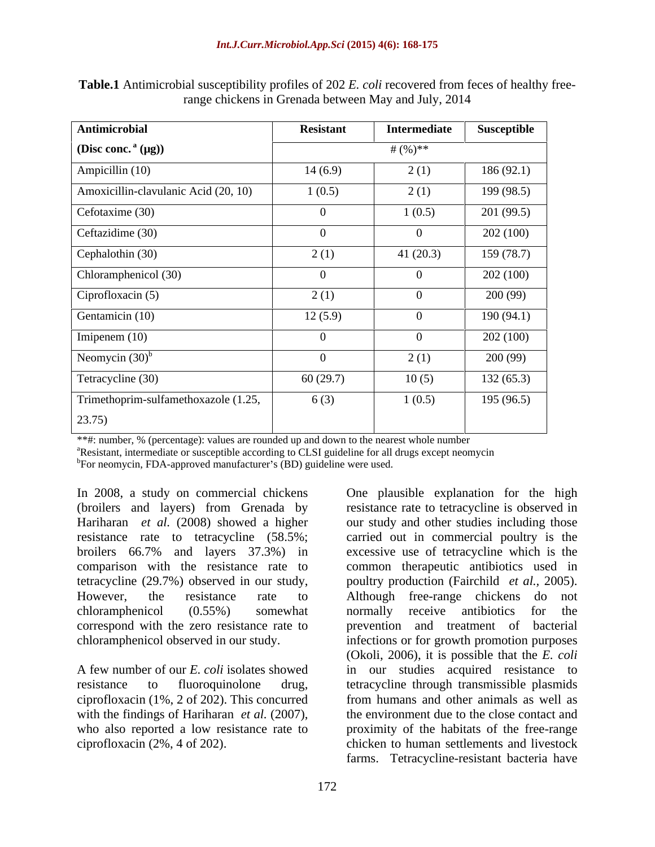| Antimicrobial                        | <b>Resistant</b> | Intermediate | Susceptible |
|--------------------------------------|------------------|--------------|-------------|
| (Disc conc. $(a(\mu g))$             | # $(\%)$ **      |              |             |
| Ampicillin (10)                      | 14(6.9)          | 2(1)         | 186(92.1)   |
| Amoxicillin-clavulanic Acid (20, 10) | 1(0.5)           | 2(1)         | 199 (98.5)  |
| Cefotaxime (30)                      |                  | 1(0.5)       | 201(99.5)   |
| Ceftazidime (30)                     |                  |              | 202 (100)   |
| Cephalothin (30)                     | 2(1)             | 41 $(20.3)$  | 159 (78.7)  |
| Chloramphenicol (30)                 |                  |              | 202 (100)   |
| Ciprofloxacin (5)                    | 2(1)             |              | 200 (99)    |
| Gentamicin (10)                      | 12(5.9)          | $\Omega$     | 190(94.1)   |
| Imipenem $(10)$                      |                  |              | 202 (100)   |
| Neomycin $(30)^b$                    |                  | 2(1)         | 200(99)     |
| Tetracycline (30)                    | 60(29.7)         | 10(5)        | 132(65.3)   |
| Trimethoprim-sulfamethoxazole (1.25, | 6(3)             | 1(0.5)       | 195(96.5)   |
| 23.75)                               |                  |              |             |

**Table.1** Antimicrobial susceptibility profiles of 202 *E. coli* recovered from feces of healthy freerange chickens in Grenada between May and July, 2014

\*\*#: number, % (percentage): values are rounded up and down to the nearest whole number  ${}^{\text{a}}$ Resistant, intermediate or susceptible according to CLSI guideline for all drugs except neomycin

<sup>b</sup>For neomycin, FDA-approved manufacturer's (BD) guideline were used.

comparison with the resistance rate to tetracycline (29.7%) observed in our study, poultry production (Fairchild *et al.*, 2005). However, the resistance rate to Although free-range chickens do not

ciprofloxacin (1%, 2 of 202). This concurred

In 2008, a study on commercial chickens One plausible explanation for the high (broilers and layers) from Grenada by resistance rate to tetracycline is observed in Hariharan *et al.* (2008) showed a higher our study and other studies including those resistance rate to tetracycline (58.5%; carried out in commercial poultry is the broilers 66.7% and layers 37.3%) in excessive use of tetracycline which is the chloramphenicol (0.55%) somewhat correspond with the zero resistance rate to prevention and treatment of bacterial chloramphenicol observed in our study. infections or for growth promotion purposes A few number of our *E. coli* isolates showed in our studies acquired resistance to resistance to fluoroquinolone drug, tetracycline through transmissible plasmids with the findings of Hariharan *et al.* (2007), the environment due to the close contact and who also reported a low resistance rate to proximity of the habitats of the free-range ciprofloxacin (2%, 4 of 202). chicken to human settlements and livestock common therapeutic antibiotics used in poultry production (Fairchild *et al.,* 2005). Although free-range chickens do not normally receive antibiotics for the (Okoli, 2006), it is possible that the *E. coli* from humans and other animals as well as the environment due to the close contact and proximity of the habitats of the free-range farms. Tetracycline-resistant bacteria have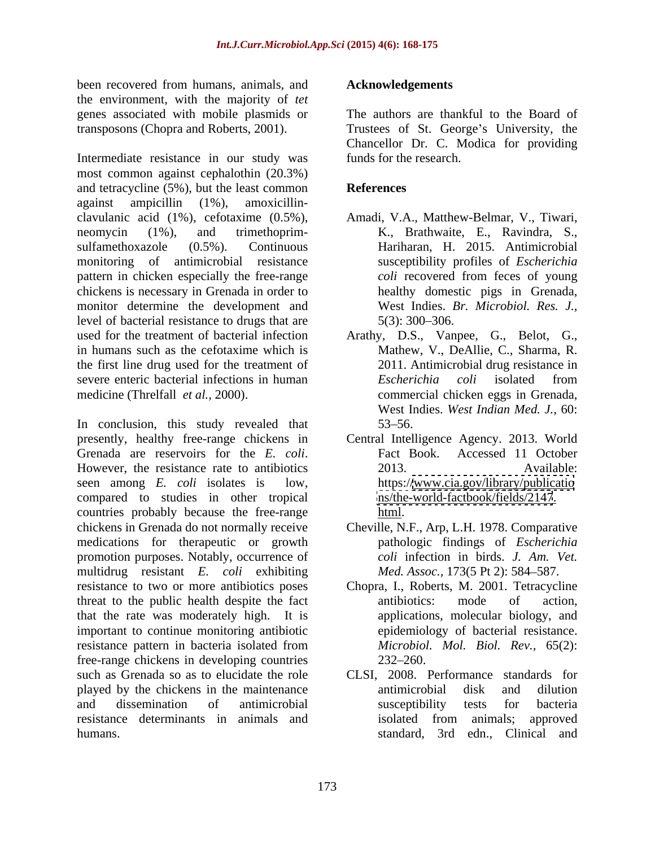been recovered from humans, animals, and **Acknowledgements** the environment, with the majority of *tet* genes associated with mobile plasmids or

most common against cephalothin (20.3%) and tetracycline  $(5\%)$ , but the least common<br>against ampicillin  $(1\%)$ , amoxicillinagainst ampicillin (1%), amoxicillin clavulanic acid (1%), cefotaxime (0.5%), neomycin (1%), and trimethoprim- K., Brathwaite, E., Ravindra, S., sulfamethoxazole (0.5%). Continuous Hariharan, H. 2015. Antimicrobial monitoring of antimicrobial resistance pattern in chicken especially the free-range coli recovered from feces of young chickens is necessary in Grenada in order to monitor determine the development and level of bacterial resistance to drugs that are  $5(3)$ : 300–306. used for the treatment of bacterial infection Arathy, D.S., Vanpee, G., Belot, G., in humans such as the cefotaxime which is Mathew, V., DeAllie, C., Sharma, R. the first line drug used for the treatment of severe enteric bacterial infections in human *Escherichia coli* isolated from

presently, healthy free-range chickens in Central Intelligence Agency. 2013. World Grenada are reservoirs for the *E. coli*. Fact Book. Accessed 11 October<br>However, the resistance rate to antibiotics 2013. Available: seen among *E. coli* isolates is low, https:/[/www.cia.gov/library/publicatio](http://www.cia.gov/library/publicatio) compared to studies in other tropical countries probably because the free-range chickens in Grenada do not normally receive Cheville, N.F., Arp, L.H. 1978. Comparative medications for therapeutic or growth promotion purposes. Notably, occurrence of multidrug resistant *E. coli* exhibiting resistance to two or more antibiotics poses Chopra, I., Roberts, M. 2001. Tetracycline threat to the public health despite the fact antibiotics: mode of action, that the rate was moderately high. It is important to continue monitoring antibiotic resistance pattern in bacteria isolated from free-range chickens in developing countries played by the chickens in the maintenance resistance determinants in animals and

#### **Acknowledgements**

transposons (Chopra and Roberts, 2001). Trustees of St. George's University, the<br>Chancellor Dr. C. Modica for providing<br>Intermediate resistance in our study was funds for the research. The authors are thankful to the Board of Trustees of St. George's University, the Chancellor Dr. C. Modica for providing funds for the research.

## **References**

- Amadi, V.A., Matthew-Belmar, V., Tiwari, susceptibility profiles of *Escherichia coli* recovered from feces of young healthy domestic pigs in Grenada, West Indies. *Br. Microbiol. Res. J.,*  $5(3)$ : 300–306.
- medicine (Threlfall *et al.*, 2000). <br>
West Indies. *West Indian Med. J.*, 60:<br>
In conclusion, this study revealed that 53–56. 2011. Antimicrobial drug resistance in *Escherichia coli* isolated from commercial chicken eggs in Grenada, West Indies. *West Indian Med. J.,* 60:  $53 - 56.$ 
	- Fact Book. Accessed 11 October 2013. Available: <ns/the-world-factbook/fields/2147>. html.
	- pathologic findings of *Escherichia coli* infection in birds. *J. Am. Vet. Med. Assoc.,* 173(5 Pt 2): 584-587.
	- antibiotics: mode of action, applications, molecular biology, and epidemiology of bacterial resistance.*Microbiol. Mol. Biol. Rev.,* 65(2):  $232 - 260.$
- such as Grenada so as to elucidate the role CLSI, 2008. Performance standards for and dissemination of antimicrobial humans. standard, 3rd edn., Clinical andantimicrobial disk and dilution susceptibility tests for bacteria isolated from animals; approved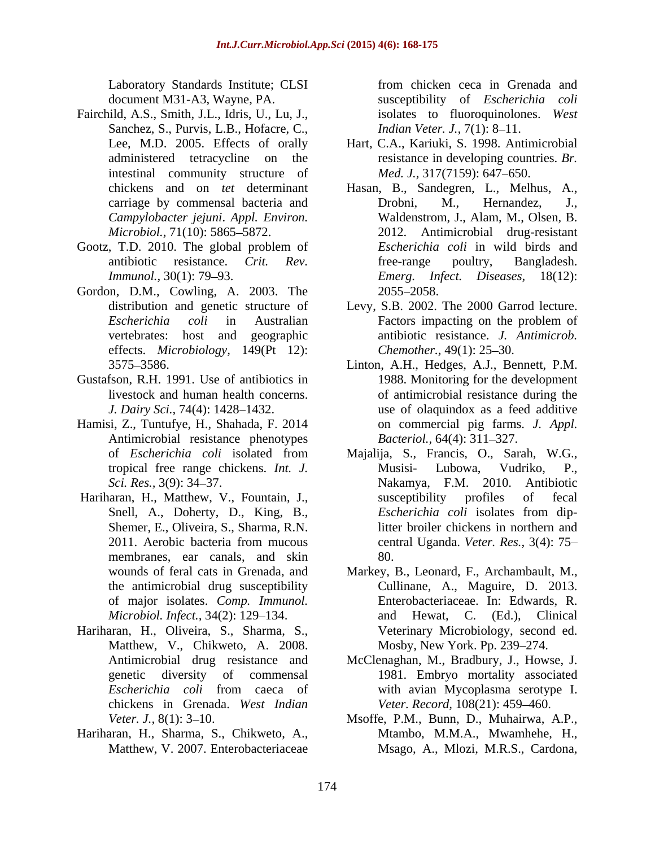- Fairchild, A.S., Smith, J.L., Idris, U., Lu, J., Sanchez, S., Purvis, L.B., Hofacre, C., intestinal community structure of *Campylobacter jejuni*. *Appl. Environ.*
- Gootz, T.D. 2010. The global problem of
- Gordon, D.M., Cowling, A. 2003. The 2055–2058. effects. *Microbiology,* 149(Pt 12):
- Gustafson, R.H. 1991. Use of antibiotics in
- Hamisi, Z., Tuntufye, H., Shahada, F. 2014 Antimicrobial resistance phenotypes
- membranes, ear canals, and skin 80. *Microbiol. Infect.*, 34(2): 129–134. and
- Hariharan, H., Oliveira, S., Sharma, S., Matthew, V., Chikweto, A. 2008.
- Hariharan, H., Sharma, S., Chikweto, A.,

Laboratory Standards Institute; CLSI from chicken ceca in Grenada and document M31-A3, Wayne, PA. susceptibility of *Escherichia coli* from chicken ceca in Grenada and isolates to fluoroquinolones. *West Indian Veter. J., 7(1): 8-11.* 

- Lee, M.D. 2005. Effects of orally Hart, C.A., Kariuki, S. 1998. Antimicrobial administered tetracycline on the resistance in developing countries. *Br. Med. J.,* 317(7159): 647–650.
- chickens and on *tet* determinant Hasan, B., Sandegren, L., Melhus, A., carriage by commensal bacteria and Drobni, M., Hernandez, J., carriage by commensal bacteria and Drobni, M., Hernandez, J., *Microbiol.,* 71(10): 5865 5872. 2012. Antimicrobial drug-resistant antibiotic resistance. *Crit. Rev. Immunol.,* 30(1): 79 93. *Emerg. Infect. Diseases,* 18(12): Waldenstrom, J., Alam, M., Olsen, B. *Escherichia coli* in wild birds and free-range poultry, Bangladesh. 2055 2058.
- distribution and genetic structure of Levy, S.B. 2002. The 2000 Garrod lecture. *Escherichia coli* in Australian vertebrates: host and geographic antibiotic resistance. *J. Antimicrob.* Factors impacting on the problem of *Chemother.,* 49(1): 25–30.
- 3575 3586. Linton, A.H., Hedges, A.J., Bennett, P.M. livestock and human health concerns. The of antimicrobial resistance during the *J. Dairy Sci.,* 74(4): 1428–1432. use of olaquindox as a feed additive 1988. Monitoring for the development on commercial pig farms. *J. Appl. Bacteriol.,* 64(4): 311-327.
- of *Escherichia coli* isolated from Majalija, S., Francis, O., Sarah, W.G., tropical free range chickens. *Int. J. Sci. Res.,* 3(9): 34 37. Nakamya, F.M. 2010. Antibiotic Hariharan, H., Matthew, V., Fountain, J., Snell, A., Doherty, D., King, B., *Escherichia coli* isolates from dip-Shemer, E., Oliveira, S., Sharma, R.N. litter broiler chickens in northern and 2011. Aerobic bacteria from mucous central Uganda. Veter. Res., 3(4): 75– Musisi-Lubowa, Vudriko, P., susceptibility profiles of fecal *Escherichia coli* isolates from dipcentral Uganda. *Veter. Res.,* 3(4): 75 80.
	- wounds of feral cats in Grenada, and Markey, B., Leonard, F., Archambault, M., the antimicrobial drug susceptibility Cullinane, A., Maguire, D. 2013. of major isolates. *Comp. Immunol.* Enterobacteriaceae. In: Edwards, R. Hewat, C. (Ed.), Clinical Veterinary Microbiology, second ed. Mosby, New York. Pp. 239-274.
	- Antimicrobial drug resistance and McClenaghan, M., Bradbury, J., Howse, J. genetic diversity of commensal 1981. Embryo mortality associated *Escherichia coli* from caeca of chickens in Grenada. *West Indian Veter. Record,* 108(21): 459 460. with avian Mycoplasma serotype I.
	- *Veter. J.*, 8(1): 3–10. Msoffe, P.M., Bunn, D., Muhairwa, A.P., Matthew, V. 2007. Enterobacteriaceae Msago, A., Mlozi, M.R.S., Cardona,Mtambo, M.M.A., Mwamhehe, H.,